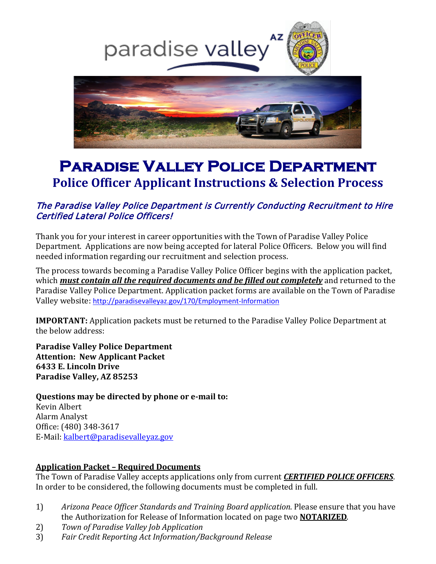

# **Paradise Valley Police Department Police Officer Applicant Instructions & Selection Process**

## The Paradise Valley Police Department is Currently Conducting Recruitment to Hire Certified Lateral Police Officers!

Thank you for your interest in career opportunities with the Town of Paradise Valley Police Department. Applications are now being accepted for lateral Police Officers. Below you will find needed information regarding our recruitment and selection process.

The process towards becoming a Paradise Valley Police Officer begins with the application packet, which *must contain all the required documents and be filled out completely* and returned to the Paradise Valley Police Department. Application packet forms are available on the Town of Paradise Valley website: <http://paradisevalleyaz.gov/170/Employment-Information>

**IMPORTANT:** Application packets must be returned to the Paradise Valley Police Department at the below address:

**Paradise Valley Police Department Attention: New Applicant Packet 6433 E. Lincoln Drive Paradise Valley, AZ 85253**

**Questions may be directed by phone or e-mail to:** Kevin Albert Alarm Analyst Office: (480) 348-3617 E-Mail: [kalbert@paradisevalleyaz.gov](mailto:kalbert@paradisevalleyaz.gov)

#### **Application Packet – Required Documents**

The Town of Paradise Valley accepts applications only from current *CERTIFIED POLICE OFFICERS*. In order to be considered, the following documents must be completed in full.

- 1) *Arizona Peace Officer Standards and Training Board application*. Please ensure that you have the Authorization for Release of Information located on page two **NOTARIZED**.
- 2) *Town of Paradise Valley Job Application*
- 3) *Fair Credit Reporting Act Information/Background Release*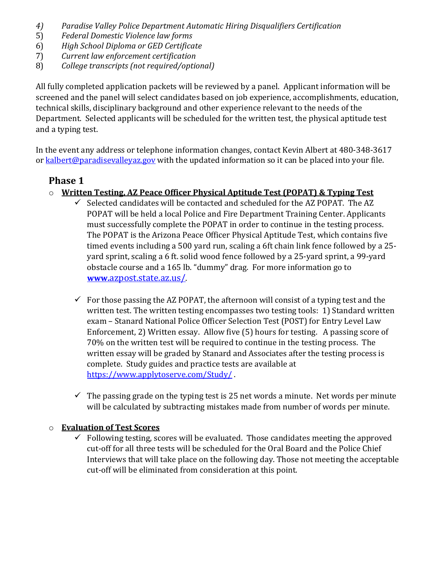- *4) Paradise Valley Police Department Automatic Hiring Disqualifiers Certification*
- 5) *Federal Domestic Violence law forms*
- 6) *High School Diploma or GED Certificate*
- 7) *Current law enforcement certification*
- 8) *College transcripts (not required/optional)*

All fully completed application packets will be reviewed by a panel. Applicant information will be screened and the panel will select candidates based on job experience, accomplishments, education, technical skills, disciplinary background and other experience relevant to the needs of the Department. Selected applicants will be scheduled for the written test, the physical aptitude test and a typing test.

In the event any address or telephone information changes, contact Kevin Albert at 480-348-3617 or  $kalbert@paradisevalleyaz.gov$  with the updated information so it can be placed into your file.

#### **Phase 1**

- o **Written Testing, AZ Peace Officer Physical Aptitude Test (POPAT) & Typing Test**
	- $\checkmark$  Selected candidates will be contacted and scheduled for the AZ POPAT. The AZ POPAT will be held a local Police and Fire Department Training Center. Applicants must successfully complete the POPAT in order to continue in the testing process. The POPAT is the Arizona Peace Officer Physical Aptitude Test, which contains five timed events including a 500 yard run, scaling a 6ft chain link fence followed by a 25 yard sprint, scaling a 6 ft. solid wood fence followed by a 25-yard sprint, a 99-yard obstacle course and a 165 lb. "dummy" drag. For more information go to **[www.](http://www.azpost.state.az.us/)**[azpost.state.az.us/.](http://www.azpost.state.az.us/)
	- $\checkmark$  For those passing the AZ POPAT, the afternoon will consist of a typing test and the written test. The written testing encompasses two testing tools: 1) Standard written exam – Stanard National Police Officer Selection Test (POST) for Entry Level Law Enforcement, 2) Written essay. Allow five (5) hours for testing. A passing score of 70% on the written test will be required to continue in the testing process. The written essay will be graded by Stanard and Associates after the testing process is complete. Study guides and practice tests are available at <https://www.applytoserve.com/Study/>
	- $\checkmark$  The passing grade on the typing test is 25 net words a minute. Net words per minute will be calculated by subtracting mistakes made from number of words per minute.

#### o **Evaluation of Test Scores**

 $\checkmark$  Following testing, scores will be evaluated. Those candidates meeting the approved cut-off for all three tests will be scheduled for the Oral Board and the Police Chief Interviews that will take place on the following day. Those not meeting the acceptable cut-off will be eliminated from consideration at this point.